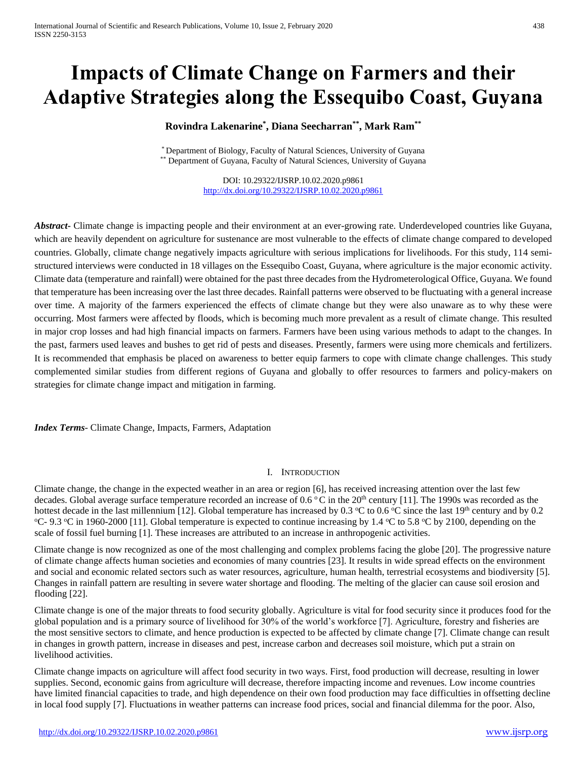# **Impacts of Climate Change on Farmers and their Adaptive Strategies along the Essequibo Coast, Guyana**

# **Rovindra Lakenarine\* , Diana Seecharran\*\* , Mark Ram\*\***

\* Department of Biology, Faculty of Natural Sciences, University of Guyana \*\* Department of Guyana, Faculty of Natural Sciences, University of Guyana

> DOI: 10.29322/IJSRP.10.02.2020.p9861 <http://dx.doi.org/10.29322/IJSRP.10.02.2020.p9861>

*Abstract***-** Climate change is impacting people and their environment at an ever-growing rate. Underdeveloped countries like Guyana, which are heavily dependent on agriculture for sustenance are most vulnerable to the effects of climate change compared to developed countries. Globally, climate change negatively impacts agriculture with serious implications for livelihoods. For this study, 114 semistructured interviews were conducted in 18 villages on the Essequibo Coast, Guyana, where agriculture is the major economic activity. Climate data (temperature and rainfall) were obtained for the past three decades from the Hydrometerological Office, Guyana. We found that temperature has been increasing over the last three decades. Rainfall patterns were observed to be fluctuating with a general increase over time. A majority of the farmers experienced the effects of climate change but they were also unaware as to why these were occurring. Most farmers were affected by floods, which is becoming much more prevalent as a result of climate change. This resulted in major crop losses and had high financial impacts on farmers. Farmers have been using various methods to adapt to the changes. In the past, farmers used leaves and bushes to get rid of pests and diseases. Presently, farmers were using more chemicals and fertilizers. It is recommended that emphasis be placed on awareness to better equip farmers to cope with climate change challenges. This study complemented similar studies from different regions of Guyana and globally to offer resources to farmers and policy-makers on strategies for climate change impact and mitigation in farming.

*Index Terms*- Climate Change, Impacts, Farmers, Adaptation

## I. INTRODUCTION

Climate change, the change in the expected weather in an area or region [6], has received increasing attention over the last few decades. Global average surface temperature recorded an increase of  $0.6 \degree C$  in the  $20^{th}$  century [11]. The 1990s was recorded as the hottest decade in the last millennium [12]. Global temperature has increased by 0.3  $\degree$ C to 0.6  $\degree$ C since the last 19<sup>th</sup> century and by 0.2 °C- 9.3 °C in 1960-2000 [11]. Global temperature is expected to continue increasing by 1.4 °C to 5.8 °C by 2100, depending on the scale of fossil fuel burning [1]. These increases are attributed to an increase in anthropogenic activities.

Climate change is now recognized as one of the most challenging and complex problems facing the globe [20]. The progressive nature of climate change affects human societies and economies of many countries [23]. It results in wide spread effects on the environment and social and economic related sectors such as water resources, agriculture, human health, terrestrial ecosystems and biodiversity [5]. Changes in rainfall pattern are resulting in severe water shortage and flooding. The melting of the glacier can cause soil erosion and flooding [22].

Climate change is one of the major threats to food security globally. Agriculture is vital for food security since it produces food for the global population and is a primary source of livelihood for 30% of the world's workforce [7]. Agriculture, forestry and fisheries are the most sensitive sectors to climate, and hence production is expected to be affected by climate change [7]. Climate change can result in changes in growth pattern, increase in diseases and pest, increase carbon and decreases soil moisture, which put a strain on livelihood activities.

Climate change impacts on agriculture will affect food security in two ways. First, food production will decrease, resulting in lower supplies. Second, economic gains from agriculture will decrease, therefore impacting income and revenues. Low income countries have limited financial capacities to trade, and high dependence on their own food production may face difficulties in offsetting decline in local food supply [7]. Fluctuations in weather patterns can increase food prices, social and financial dilemma for the poor. Also,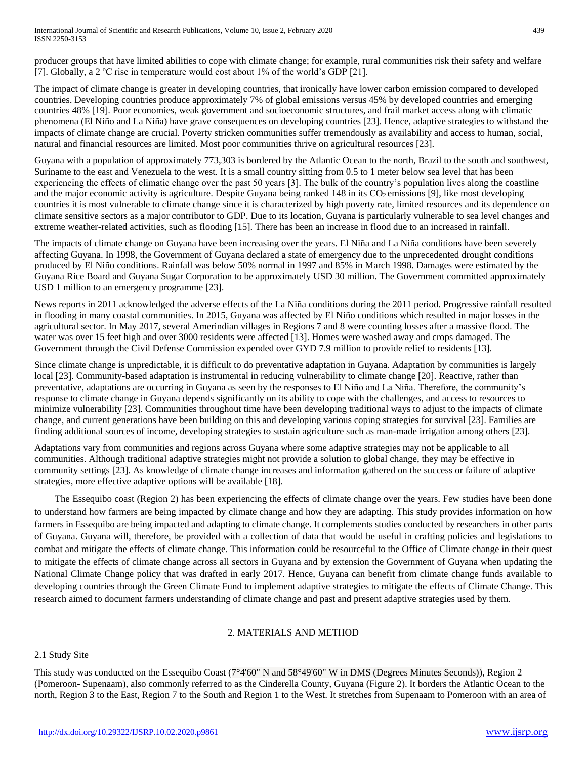International Journal of Scientific and Research Publications, Volume 10, Issue 2, February 2020 439 ISSN 2250-3153

producer groups that have limited abilities to cope with climate change; for example, rural communities risk their safety and welfare [7]. Globally, a 2  $^{\circ}$ C rise in temperature would cost about 1% of the world's GDP [21].

The impact of climate change is greater in developing countries, that ironically have lower carbon emission compared to developed countries. Developing countries produce approximately 7% of global emissions versus 45% by developed countries and emerging countries 48% [19]. Poor economies, weak government and socioeconomic structures, and frail market access along with climatic phenomena (El Niño and La Niña) have grave consequences on developing countries [23]. Hence, adaptive strategies to withstand the impacts of climate change are crucial. Poverty stricken communities suffer tremendously as availability and access to human, social, natural and financial resources are limited. Most poor communities thrive on agricultural resources [23].

Guyana with a population of approximately 773,303 is bordered by the Atlantic Ocean to the north, Brazil to the south and southwest, Suriname to the east and Venezuela to the west. It is a small country sitting from 0.5 to 1 meter below sea level that has been experiencing the effects of climatic change over the past 50 years [3]. The bulk of the country's population lives along the coastline and the major economic activity is agriculture. Despite Guyana being ranked 148 in its CO<sub>2</sub> emissions [9], like most developing countries it is most vulnerable to climate change since it is characterized by high poverty rate, limited resources and its dependence on climate sensitive sectors as a major contributor to GDP. Due to its location, Guyana is particularly vulnerable to sea level changes and extreme weather-related activities, such as flooding [15]. There has been an increase in flood due to an increased in rainfall.

The impacts of climate change on Guyana have been increasing over the years. El Niña and La Niña conditions have been severely affecting Guyana. In 1998, the Government of Guyana declared a state of emergency due to the unprecedented drought conditions produced by El Niño conditions. Rainfall was below 50% normal in 1997 and 85% in March 1998. Damages were estimated by the Guyana Rice Board and Guyana Sugar Corporation to be approximately USD 30 million. The Government committed approximately USD 1 million to an emergency programme [23].

News reports in 2011 acknowledged the adverse effects of the La Niña conditions during the 2011 period. Progressive rainfall resulted in flooding in many coastal communities. In 2015, Guyana was affected by El Niño conditions which resulted in major losses in the agricultural sector. In May 2017, several Amerindian villages in Regions 7 and 8 were counting losses after a massive flood. The water was over 15 feet high and over 3000 residents were affected [13]. Homes were washed away and crops damaged. The Government through the Civil Defense Commission expended over GYD 7.9 million to provide relief to residents [13].

Since climate change is unpredictable, it is difficult to do preventative adaptation in Guyana. Adaptation by communities is largely local [23]. Community-based adaptation is instrumental in reducing vulnerability to climate change [20]. Reactive, rather than preventative, adaptations are occurring in Guyana as seen by the responses to El Niño and La Niña. Therefore, the community's response to climate change in Guyana depends significantly on its ability to cope with the challenges, and access to resources to minimize vulnerability [23]. Communities throughout time have been developing traditional ways to adjust to the impacts of climate change, and current generations have been building on this and developing various coping strategies for survival [23]. Families are finding additional sources of income, developing strategies to sustain agriculture such as man-made irrigation among others [23].

Adaptations vary from communities and regions across Guyana where some adaptive strategies may not be applicable to all communities. Although traditional adaptive strategies might not provide a solution to global change, they may be effective in community settings [23]. As knowledge of climate change increases and information gathered on the success or failure of adaptive strategies, more effective adaptive options will be available [18].

The Essequibo coast (Region 2) has been experiencing the effects of climate change over the years. Few studies have been done to understand how farmers are being impacted by climate change and how they are adapting. This study provides information on how farmers in Essequibo are being impacted and adapting to climate change. It complements studies conducted by researchers in other parts of Guyana. Guyana will, therefore, be provided with a collection of data that would be useful in crafting policies and legislations to combat and mitigate the effects of climate change. This information could be resourceful to the Office of Climate change in their quest to mitigate the effects of climate change across all sectors in Guyana and by extension the Government of Guyana when updating the National Climate Change policy that was drafted in early 2017. Hence, Guyana can benefit from climate change funds available to developing countries through the Green Climate Fund to implement adaptive strategies to mitigate the effects of Climate Change. This research aimed to document farmers understanding of climate change and past and present adaptive strategies used by them.

## 2. MATERIALS AND METHOD

## 2.1 Study Site

This study was conducted on the Essequibo Coast (7°4'60" N and 58°49'60" W in DMS (Degrees Minutes Seconds)), Region 2 (Pomeroon- Supenaam), also commonly referred to as the Cinderella County, Guyana (Figure 2). It borders the Atlantic Ocean to the north, Region 3 to the East, Region 7 to the South and Region 1 to the West. It stretches from Supenaam to Pomeroon with an area of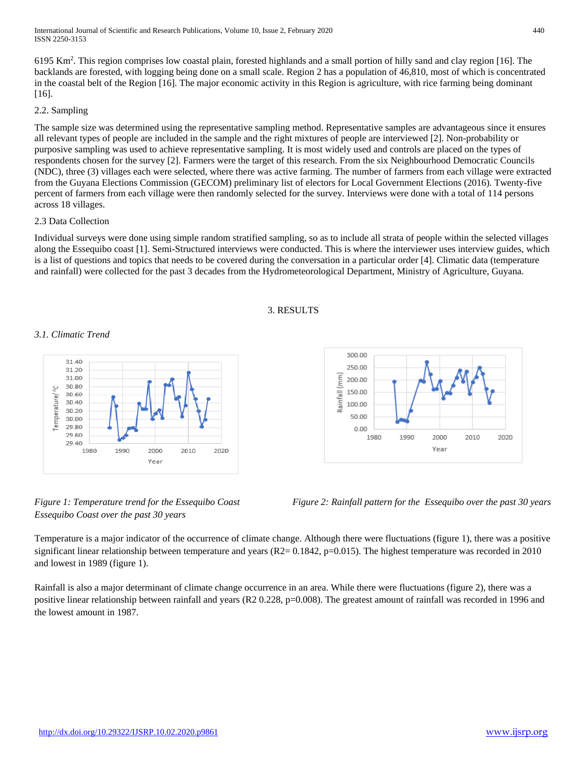6195 Km<sup>2</sup> . This region comprises low coastal plain, forested highlands and a small portion of hilly sand and clay region [16]. The backlands are forested, with logging being done on a small scale. Region 2 has a population of 46,810, most of which is concentrated in the coastal belt of the Region [16]. The major economic activity in this Region is agriculture, with rice farming being dominant [16].

#### 2.2. Sampling

The sample size was determined using the representative sampling method. Representative samples are advantageous since it ensures all relevant types of people are included in the sample and the right mixtures of people are interviewed [2]. Non-probability or purposive sampling was used to achieve representative sampling. It is most widely used and controls are placed on the types of respondents chosen for the survey [2]. Farmers were the target of this research. From the six Neighbourhood Democratic Councils (NDC), three (3) villages each were selected, where there was active farming. The number of farmers from each village were extracted from the Guyana Elections Commission (GECOM) preliminary list of electors for Local Government Elections (2016). Twenty-five percent of farmers from each village were then randomly selected for the survey. Interviews were done with a total of 114 persons across 18 villages.

#### 2.3 Data Collection

Individual surveys were done using simple random stratified sampling, so as to include all strata of people within the selected villages along the Essequibo coast [1]. Semi-Structured interviews were conducted. This is where the interviewer uses interview guides, which is a list of questions and topics that needs to be covered during the conversation in a particular order [4]. Climatic data (temperature and rainfall) were collected for the past 3 decades from the Hydrometeorological Department, Ministry of Agriculture, Guyana.

#### 3. RESULTS

## *3.1. Climatic Trend*



*Essequibo Coast over the past 30 years*

 $0.00$ 1980 1990

*Figure 1: Temperature trend for the Essequibo Coast Figure 2: Rainfall pattern for the Essequibo over the past 30 years*

Temperature is a major indicator of the occurrence of climate change. Although there were fluctuations (figure 1), there was a positive significant linear relationship between temperature and years  $(R2=0.1842, p=0.015)$ . The highest temperature was recorded in 2010 and lowest in 1989 (figure 1).

Rainfall is also a major determinant of climate change occurrence in an area. While there were fluctuations (figure 2), there was a positive linear relationship between rainfall and years (R2 0.228, p=0.008). The greatest amount of rainfall was recorded in 1996 and the lowest amount in 1987.



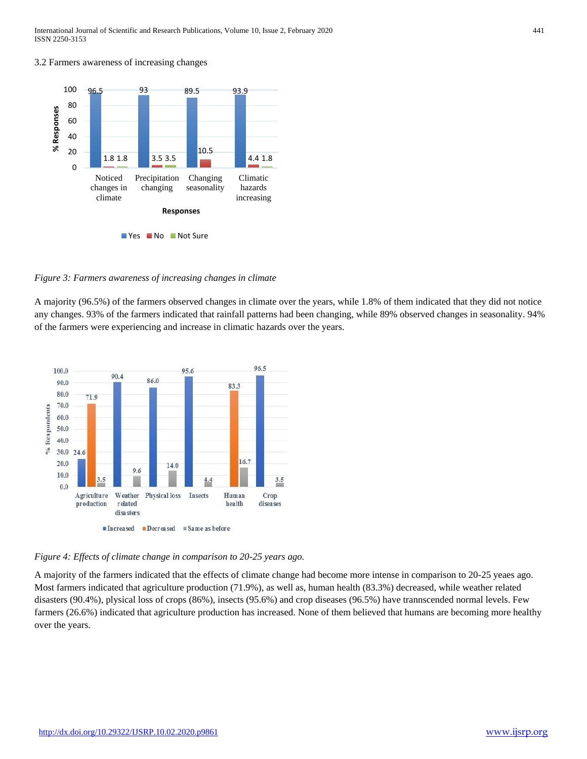3.2 Farmers awareness of increasing changes



*Figure 3: Farmers awareness of increasing changes in climate*

A majority (96.5%) of the farmers observed changes in climate over the years, while 1.8% of them indicated that they did not notice any changes. 93% of the farmers indicated that rainfall patterns had been changing, while 89% observed changes in seasonality. 94% of the farmers were experiencing and increase in climatic hazards over the years.



*Figure 4: Effects of climate change in comparison to 20-25 years ago.* 

A majority of the farmers indicated that the effects of climate change had become more intense in comparison to 20-25 yeaes ago. Most farmers indicated that agriculture production (71.9%), as well as, human health (83.3%) decreased, while weather related disasters (90.4%), plysical loss of crops (86%), insects (95.6%) and crop diseases (96.5%) have trannscended normal levels. Few farmers (26.6%) indicated that agriculture production has increased. None of them believed that humans are becoming more healthy over the years.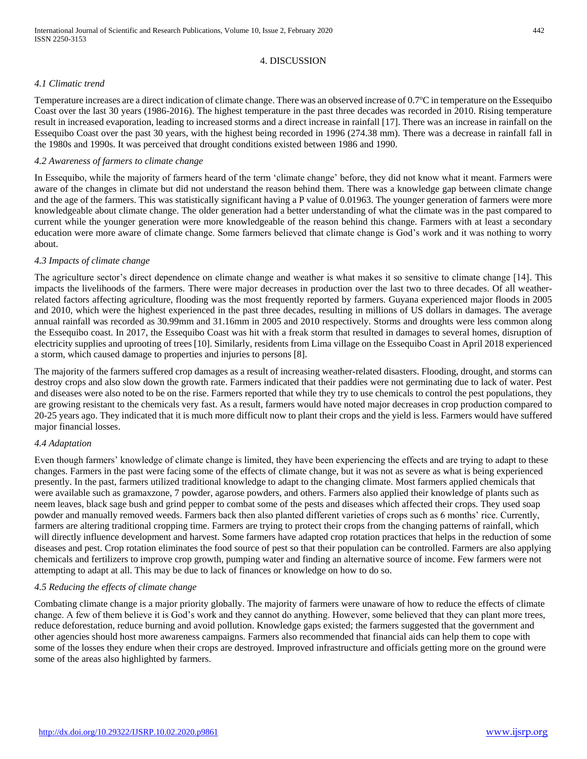#### 4. DISCUSSION

#### *4.1 Climatic trend*

Temperature increases are a direct indication of climate change. There was an observed increase of 0.7°C in temperature on the Essequibo Coast over the last 30 years (1986-2016). The highest temperature in the past three decades was recorded in 2010. Rising temperature result in increased evaporation, leading to increased storms and a direct increase in rainfall [17]. There was an increase in rainfall on the Essequibo Coast over the past 30 years, with the highest being recorded in 1996 (274.38 mm). There was a decrease in rainfall fall in the 1980s and 1990s. It was perceived that drought conditions existed between 1986 and 1990.

#### *4.2 Awareness of farmers to climate change*

In Essequibo, while the majority of farmers heard of the term 'climate change' before, they did not know what it meant. Farmers were aware of the changes in climate but did not understand the reason behind them. There was a knowledge gap between climate change and the age of the farmers. This was statistically significant having a P value of 0.01963. The younger generation of farmers were more knowledgeable about climate change. The older generation had a better understanding of what the climate was in the past compared to current while the younger generation were more knowledgeable of the reason behind this change. Farmers with at least a secondary education were more aware of climate change. Some farmers believed that climate change is God's work and it was nothing to worry about.

#### *4.3 Impacts of climate change*

The agriculture sector's direct dependence on climate change and weather is what makes it so sensitive to climate change [14]. This impacts the livelihoods of the farmers. There were major decreases in production over the last two to three decades. Of all weatherrelated factors affecting agriculture, flooding was the most frequently reported by farmers. Guyana experienced major floods in 2005 and 2010, which were the highest experienced in the past three decades, resulting in millions of US dollars in damages. The average annual rainfall was recorded as 30.99mm and 31.16mm in 2005 and 2010 respectively. Storms and droughts were less common along the Essequibo coast. In 2017, the Essequibo Coast was hit with a freak storm that resulted in damages to several homes, disruption of electricity supplies and uprooting of trees [10]. Similarly, residents from Lima village on the Essequibo Coast in April 2018 experienced a storm, which caused damage to properties and injuries to persons [8].

The majority of the farmers suffered crop damages as a result of increasing weather-related disasters. Flooding, drought, and storms can destroy crops and also slow down the growth rate. Farmers indicated that their paddies were not germinating due to lack of water. Pest and diseases were also noted to be on the rise. Farmers reported that while they try to use chemicals to control the pest populations, they are growing resistant to the chemicals very fast. As a result, farmers would have noted major decreases in crop production compared to 20-25 years ago. They indicated that it is much more difficult now to plant their crops and the yield is less. Farmers would have suffered major financial losses.

## *4.4 Adaptation*

Even though farmers' knowledge of climate change is limited, they have been experiencing the effects and are trying to adapt to these changes. Farmers in the past were facing some of the effects of climate change, but it was not as severe as what is being experienced presently. In the past, farmers utilized traditional knowledge to adapt to the changing climate. Most farmers applied chemicals that were available such as gramaxzone, 7 powder, agarose powders, and others. Farmers also applied their knowledge of plants such as neem leaves, black sage bush and grind pepper to combat some of the pests and diseases which affected their crops. They used soap powder and manually removed weeds. Farmers back then also planted different varieties of crops such as 6 months' rice. Currently, farmers are altering traditional cropping time. Farmers are trying to protect their crops from the changing patterns of rainfall, which will directly influence development and harvest. Some farmers have adapted crop rotation practices that helps in the reduction of some diseases and pest. Crop rotation eliminates the food source of pest so that their population can be controlled. Farmers are also applying chemicals and fertilizers to improve crop growth, pumping water and finding an alternative source of income. Few farmers were not attempting to adapt at all. This may be due to lack of finances or knowledge on how to do so.

#### *4.5 Reducing the effects of climate change*

Combating climate change is a major priority globally. The majority of farmers were unaware of how to reduce the effects of climate change. A few of them believe it is God's work and they cannot do anything. However, some believed that they can plant more trees, reduce deforestation, reduce burning and avoid pollution. Knowledge gaps existed; the farmers suggested that the government and other agencies should host more awareness campaigns. Farmers also recommended that financial aids can help them to cope with some of the losses they endure when their crops are destroyed. Improved infrastructure and officials getting more on the ground were some of the areas also highlighted by farmers.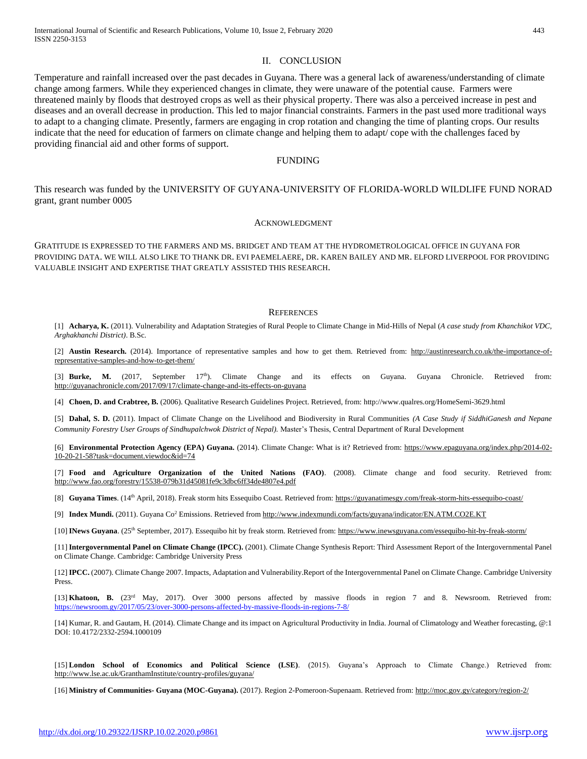#### II. CONCLUSION

Temperature and rainfall increased over the past decades in Guyana. There was a general lack of awareness/understanding of climate change among farmers. While they experienced changes in climate, they were unaware of the potential cause. Farmers were threatened mainly by floods that destroyed crops as well as their physical property. There was also a perceived increase in pest and diseases and an overall decrease in production. This led to major financial constraints. Farmers in the past used more traditional ways to adapt to a changing climate. Presently, farmers are engaging in crop rotation and changing the time of planting crops. Our results indicate that the need for education of farmers on climate change and helping them to adapt/ cope with the challenges faced by providing financial aid and other forms of support.

#### FUNDING

This research was funded by the UNIVERSITY OF GUYANA-UNIVERSITY OF FLORIDA-WORLD WILDLIFE FUND NORAD grant, grant number 0005

#### ACKNOWLEDGMENT

GRATITUDE IS EXPRESSED TO THE FARMERS AND MS. BRIDGET AND TEAM AT THE HYDROMETROLOGICAL OFFICE IN GUYANA FOR PROVIDING DATA. WE WILL ALSO LIKE TO THANK DR. EVI PAEMELAERE, DR. KAREN BAILEY AND MR. ELFORD LIVERPOOL FOR PROVIDING VALUABLE INSIGHT AND EXPERTISE THAT GREATLY ASSISTED THIS RESEARCH.

#### **REFERENCES**

[1] **Acharya, K.** (2011). Vulnerability and Adaptation Strategies of Rural People to Climate Change in Mid-Hills of Nepal (*A case study from Khanchikot VDC, Arghakhanchi District)*. B.Sc.

[2] **Austin Research.** (2014). Importance of representative samples and how to get them. Retrieved from: [http://austinresearch.co.uk/the-importance-of](http://austinresearch.co.uk/the-importance-of-representative-samples-and-how-to-get-them/)[representative-samples-and-how-to-get-them/](http://austinresearch.co.uk/the-importance-of-representative-samples-and-how-to-get-them/)

[3] **Burke, M.** (2017, September 17<sup>th</sup>). Climate Change and its effects on Guyana. Guyana Chronicle. Retrieved from: <http://guyanachronicle.com/2017/09/17/climate-change-and-its-effects-on-guyana>

[4] **Choen, D. and Crabtree, B.** (2006). Qualitative Research Guidelines Project. Retrieved, from[: http://www.qualres.org/HomeSemi-3629.html](http://www.qualres.org/HomeSemi-3629.html)

[5] **Dahal, S. D.** (2011). Impact of Climate Change on the Livelihood and Biodiversity in Rural Communities *(A Case Study if SiddhiGanesh and Nepane Community Forestry User Groups of Sindhupalchwok District of Nepal).* Master's Thesis, Central Department of Rural Development

[6] **Environmental Protection Agency (EPA) Guyana.** (2014). Climate Change: What is it? Retrieved from: [https://www.epaguyana.org/index.php/2014-02-](https://www.epaguyana.org/index.php/2014-02-10-20-21-58?task=document.viewdoc&id=74) [10-20-21-58?task=document.viewdoc&id=74](https://www.epaguyana.org/index.php/2014-02-10-20-21-58?task=document.viewdoc&id=74)

[7] **Food and Agriculture Organization of the United Nations (FAO)**. (2008). Climate change and food security. Retrieved from: <http://www.fao.org/forestry/15538-079b31d45081fe9c3dbc6ff34de4807e4.pdf>

[8] **Guyana Times**. (14<sup>th</sup> April, 2018). Freak storm hits Essequibo Coast. Retrieved from:<https://guyanatimesgy.com/freak-storm-hits-essequibo-coast/>

[9] **Index Mundi.** (2011). Guyana Co<sup>2</sup> Emissions. Retrieved fro[m http://www.indexmundi.com/facts/guyana/indicator/EN.ATM.CO2E.KT](http://www.indexmundi.com/facts/guyana/indicator/EN.ATM.CO2E.KT)

[10] **INews Guyana**. (25th September, 2017). Essequibo hit by freak storm. Retrieved from[: https://www.inewsguyana.com/essequibo-hit-by-freak-storm/](https://www.inewsguyana.com/essequibo-hit-by-freak-storm/)

[11] **Intergovernmental Panel on Climate Change (IPCC).** (2001). Climate Change Synthesis Report: Third Assessment Report of the Intergovernmental Panel on Climate Change. Cambridge: Cambridge University Press

[12] **IPCC.** (2007). Climate Change 2007. Impacts, Adaptation and Vulnerability.Report of the Intergovernmental Panel on Climate Change. Cambridge University Press.

[13] **Khatoon, B.** (23rd May, 2017). Over 3000 persons affected by massive floods in region 7 and 8. Newsroom. Retrieved from: <https://newsroom.gy/2017/05/23/over-3000-persons-affected-by-massive-floods-in-regions-7-8/>

[14] Kumar, R. and Gautam, H. (2014). Climate Change and its impact on Agricultural Productivity in India. Journal of Climatology and Weather forecasting, @:1 DOI: 10.4172/2332-2594.1000109

[15] **London School of Economics and Political Science (LSE)**. (2015). Guyana's Approach to Climate Change.) Retrieved from: <http://www.lse.ac.uk/GranthamInstitute/country-profiles/guyana/>

[16] **Ministry of Communities- Guyana (MOC-Guyana).** (2017). Region 2-Pomeroon-Supenaam. Retrieved from[: http://moc.gov.gy/category/region-2/](http://moc.gov.gy/category/region-2/)